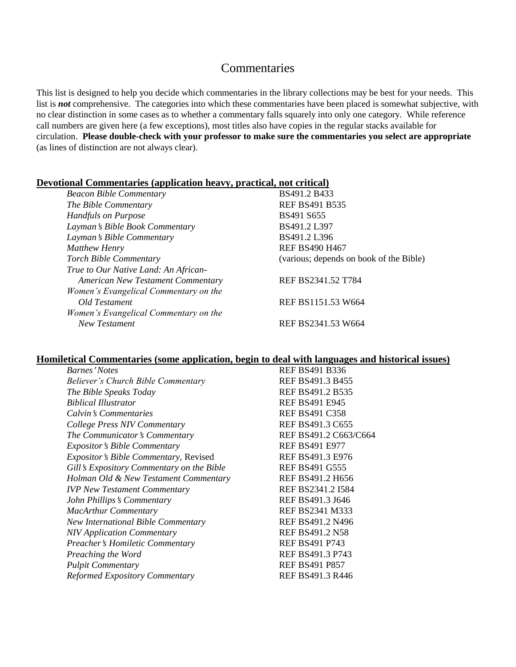## Commentaries

This list is designed to help you decide which commentaries in the library collections may be best for your needs. This list is *not* comprehensive. The categories into which these commentaries have been placed is somewhat subjective, with no clear distinction in some cases as to whether a commentary falls squarely into only one category. While reference call numbers are given here (a few exceptions), most titles also have copies in the regular stacks available for circulation. **Please double-check with your professor to make sure the commentaries you select are appropriate** (as lines of distinction are not always clear).

## **Devotional Commentaries (application heavy, practical, not critical)**

| <b>Beacon Bible Commentary</b>           | BS491.2 B433                            |
|------------------------------------------|-----------------------------------------|
| The Bible Commentary                     | <b>REF BS491 B535</b>                   |
| <b>Handfuls on Purpose</b>               | BS491 S655                              |
| Layman's Bible Book Commentary           | BS491.2 L397                            |
| Layman's Bible Commentary                | BS491.2 L396                            |
| <b>Matthew Henry</b>                     | <b>REF BS490 H467</b>                   |
| <b>Torch Bible Commentary</b>            | (various; depends on book of the Bible) |
| True to Our Native Land: An African-     |                                         |
| <b>American New Testament Commentary</b> | REF BS2341.52 T784                      |
| Women's Evangelical Commentary on the    |                                         |
| Old Testament                            | REF BS1151.53 W664                      |
| Women's Evangelical Commentary on the    |                                         |
| New Testament                            | REF BS2341.53 W664                      |

## **Homiletical Commentaries (some application, begin to deal with languages and historical issues)**

| <b>REF BS491 B336</b>   |
|-------------------------|
| REF BS491.3 B455        |
| REF BS491.2 B535        |
| <b>REF BS491 E945</b>   |
| <b>REF BS491 C358</b>   |
| REF BS491.3 C655        |
| REF BS491.2 C663/C664   |
| <b>REF BS491 E977</b>   |
| REF BS491.3 E976        |
| <b>REF BS491 G555</b>   |
| REF BS491.2 H656        |
| REF BS2341.2 I584       |
| REF BS491.3 J646        |
| <b>REF BS2341 M333</b>  |
| REF BS491.2 N496        |
| <b>REF BS491.2 N58</b>  |
| <b>REF BS491 P743</b>   |
| REF BS491.3 P743        |
| <b>REF BS491 P857</b>   |
| <b>REF BS491.3 R446</b> |
|                         |